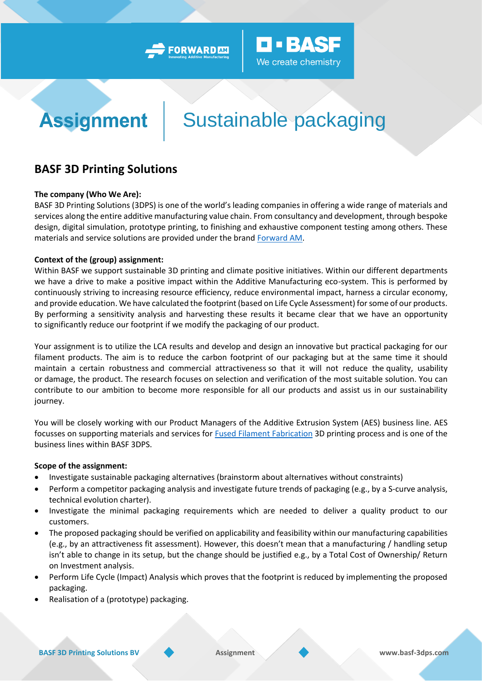



# Sustainable packaging

### **BASF 3D Printing Solutions**

#### **The company (Who We Are):**

**Assignment** 

BASF 3D Printing Solutions (3DPS) is one of the world's leading companies in offering a wide range of materials and services along the entire additive manufacturing value chain. From consultancy and development, through bespoke design, digital simulation, prototype printing, to finishing and exhaustive component testing among others. These materials and service solutions are provided under the bran[d Forward AM.](https://forward-am.com/)

#### **Context of the (group) assignment:**

Within BASF we support sustainable 3D printing and climate positive initiatives. Within our different departments we have a drive to make a positive impact within the Additive Manufacturing eco-system. This is performed by continuously striving to increasing resource efficiency, reduce environmental impact, harness a circular economy, and provide education. We have calculated the footprint (based on Life Cycle Assessment) for some of our products. By performing a sensitivity analysis and harvesting these results it became clear that we have an opportunity to significantly reduce our footprint if we modify the packaging of our product.

Your assignment is to utilize the LCA results and develop and design an innovative but practical packaging for our filament products. The aim is to reduce the carbon footprint of our packaging but at the same time it should maintain a certain robustness and commercial attractiveness so that it will not reduce the quality, usability or damage, the product. The research focuses on selection and verification of the most suitable solution. You can contribute to our ambition to become more responsible for all our products and assist us in our sustainability journey.

You will be closely working with our Product Managers of the Additive Extrusion System (AES) business line. AES focusses on supporting materials and services for **Fused Filament Fabrication** 3D printing process and is one of the business lines within BASF 3DPS.

#### **Scope of the assignment:**

- Investigate sustainable packaging alternatives (brainstorm about alternatives without constraints)
- Perform a competitor packaging analysis and investigate future trends of packaging (e.g., by a S-curve analysis, technical evolution charter).
- Investigate the minimal packaging requirements which are needed to deliver a quality product to our customers.
- The proposed packaging should be verified on applicability and feasibility within our manufacturing capabilities (e.g., by an attractiveness fit assessment). However, this doesn't mean that a manufacturing / handling setup isn't able to change in its setup, but the change should be justified e.g., by a Total Cost of Ownership/ Return on Investment analysis.
- Perform Life Cycle (Impact) Analysis which proves that the footprint is reduced by implementing the proposed packaging.
- Realisation of a (prototype) packaging.